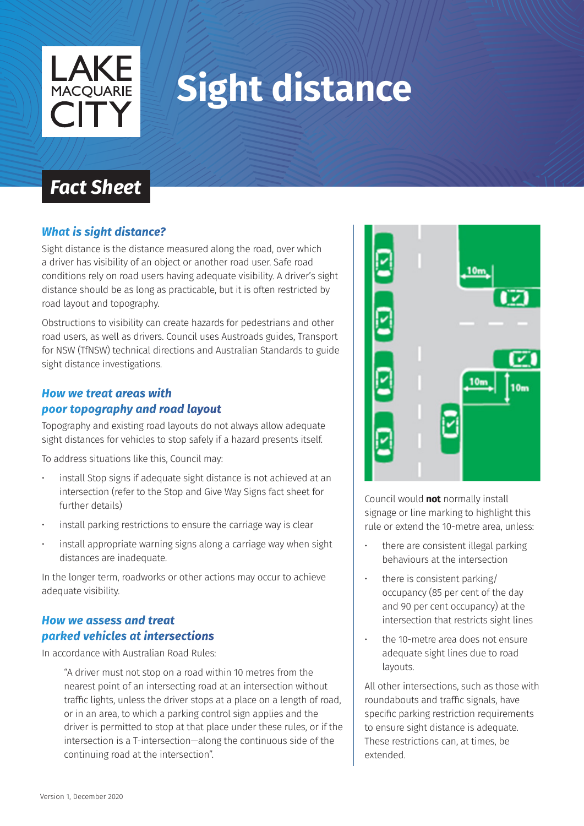

# **Sight distance**

# *Fact Sheet*

### *What is sight distance?*

Sight distance is the distance measured along the road, over which a driver has visibility of an object or another road user. Safe road conditions rely on road users having adequate visibility. A driver's sight distance should be as long as practicable, but it is often restricted by road layout and topography.

Obstructions to visibility can create hazards for pedestrians and other road users, as well as drivers. Council uses Austroads guides, Transport for NSW (TfNSW) technical directions and Australian Standards to guide sight distance investigations.

#### *How we treat areas with poor topography and road layout*

Topography and existing road layouts do not always allow adequate sight distances for vehicles to stop safely if a hazard presents itself.

To address situations like this, Council may:

- install Stop signs if adequate sight distance is not achieved at an intersection (refer to the Stop and Give Way Signs fact sheet for further details)
- install parking restrictions to ensure the carriage way is clear
- install appropriate warning signs along a carriage way when sight distances are inadequate.

In the longer term, roadworks or other actions may occur to achieve adequate visibility.

## *How we assess and treat parked vehicles at intersections*

In accordance with Australian Road Rules:

"A driver must not stop on a road within 10 metres from the nearest point of an intersecting road at an intersection without traffic lights, unless the driver stops at a place on a length of road, or in an area, to which a parking control sign applies and the driver is permitted to stop at that place under these rules, or if the intersection is a T-intersection—along the continuous side of the continuing road at the intersection".



Council would **not** normally install signage or line marking to highlight this rule or extend the 10-metre area, unless:

- there are consistent illegal parking behaviours at the intersection
- there is consistent parking/ occupancy (85 per cent of the day and 90 per cent occupancy) at the intersection that restricts sight lines
- the 10-metre area does not ensure adequate sight lines due to road layouts.

All other intersections, such as those with roundabouts and traffic signals, have specific parking restriction requirements to ensure sight distance is adequate. These restrictions can, at times, be extended.